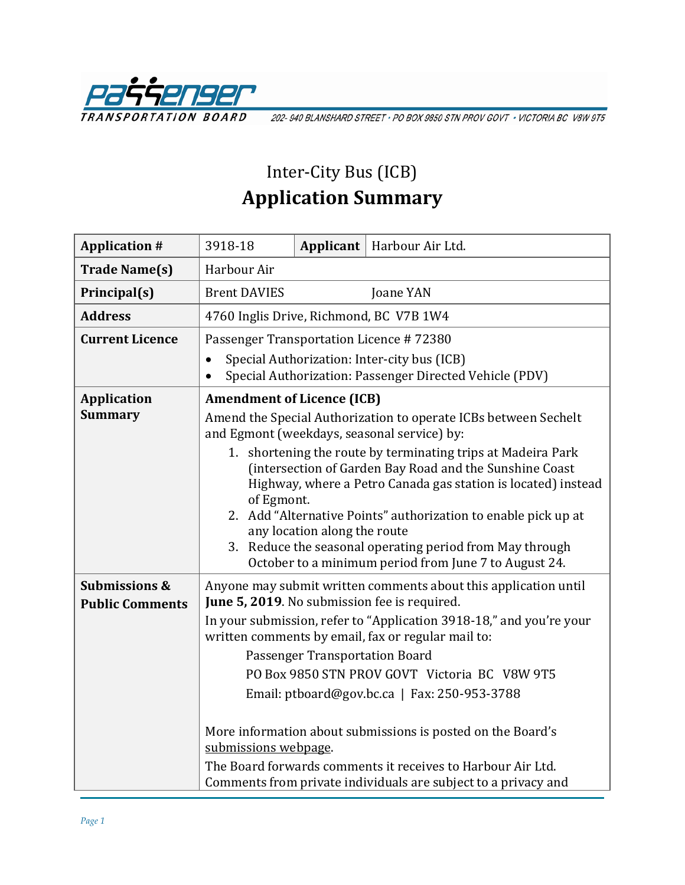

202-940 BLANSHARD STREET · PO BOX 9850 STN PROV GOVT · VICTORIA BC V8W 9T5

## Inter-City Bus (ICB) **Application Summary**

| <b>Application #</b>                               | 3918-18                                                                                                                                                                                                                                                                                                                                                                                                                                                                                                                                                                                                 | Applicant $ $ | Harbour Air Ltd. |  |  |
|----------------------------------------------------|---------------------------------------------------------------------------------------------------------------------------------------------------------------------------------------------------------------------------------------------------------------------------------------------------------------------------------------------------------------------------------------------------------------------------------------------------------------------------------------------------------------------------------------------------------------------------------------------------------|---------------|------------------|--|--|
| <b>Trade Name(s)</b>                               | Harbour Air                                                                                                                                                                                                                                                                                                                                                                                                                                                                                                                                                                                             |               |                  |  |  |
| Principal(s)                                       | <b>Brent DAVIES</b>                                                                                                                                                                                                                                                                                                                                                                                                                                                                                                                                                                                     |               | Joane YAN        |  |  |
| <b>Address</b>                                     | 4760 Inglis Drive, Richmond, BC V7B 1W4                                                                                                                                                                                                                                                                                                                                                                                                                                                                                                                                                                 |               |                  |  |  |
| <b>Current Licence</b>                             | Passenger Transportation Licence #72380                                                                                                                                                                                                                                                                                                                                                                                                                                                                                                                                                                 |               |                  |  |  |
|                                                    | Special Authorization: Inter-city bus (ICB)<br>$\bullet$<br>Special Authorization: Passenger Directed Vehicle (PDV)                                                                                                                                                                                                                                                                                                                                                                                                                                                                                     |               |                  |  |  |
| <b>Application</b><br><b>Summary</b>               | <b>Amendment of Licence (ICB)</b><br>Amend the Special Authorization to operate ICBs between Sechelt<br>and Egmont (weekdays, seasonal service) by:<br>1. shortening the route by terminating trips at Madeira Park<br>(intersection of Garden Bay Road and the Sunshine Coast<br>Highway, where a Petro Canada gas station is located) instead<br>of Egmont.<br>2. Add "Alternative Points" authorization to enable pick up at<br>any location along the route<br>3. Reduce the seasonal operating period from May through<br>October to a minimum period from June 7 to August 24.                    |               |                  |  |  |
| <b>Submissions &amp;</b><br><b>Public Comments</b> | Anyone may submit written comments about this application until<br>June 5, 2019. No submission fee is required.<br>In your submission, refer to "Application 3918-18," and you're your<br>written comments by email, fax or regular mail to:<br>Passenger Transportation Board<br>PO Box 9850 STN PROV GOVT Victoria BC V8W 9T5<br>Email: ptboard@gov.bc.ca   Fax: 250-953-3788<br>More information about submissions is posted on the Board's<br>submissions webpage.<br>The Board forwards comments it receives to Harbour Air Ltd.<br>Comments from private individuals are subject to a privacy and |               |                  |  |  |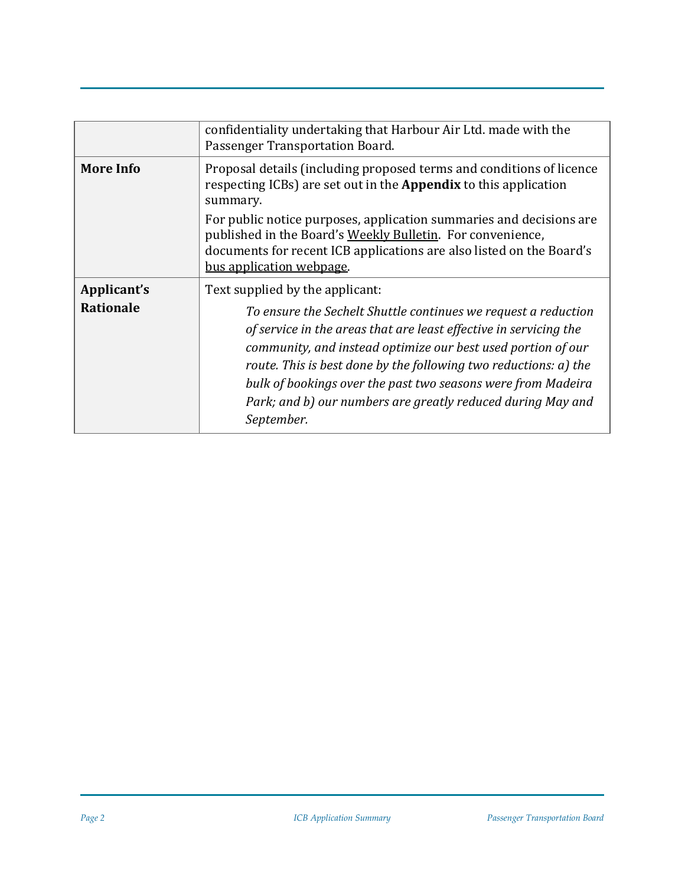|                  | confidentiality undertaking that Harbour Air Ltd. made with the<br>Passenger Transportation Board.                                                                                                                                                                                                                                                                                                                   |  |
|------------------|----------------------------------------------------------------------------------------------------------------------------------------------------------------------------------------------------------------------------------------------------------------------------------------------------------------------------------------------------------------------------------------------------------------------|--|
| <b>More Info</b> | Proposal details (including proposed terms and conditions of licence<br>respecting ICBs) are set out in the <b>Appendix</b> to this application<br>summary.                                                                                                                                                                                                                                                          |  |
|                  | For public notice purposes, application summaries and decisions are<br>published in the Board's Weekly Bulletin. For convenience,<br>documents for recent ICB applications are also listed on the Board's<br>bus application webpage.                                                                                                                                                                                |  |
| Applicant's      | Text supplied by the applicant:                                                                                                                                                                                                                                                                                                                                                                                      |  |
| <b>Rationale</b> | To ensure the Sechelt Shuttle continues we request a reduction<br>of service in the areas that are least effective in servicing the<br>community, and instead optimize our best used portion of our<br>route. This is best done by the following two reductions: a) the<br>bulk of bookings over the past two seasons were from Madeira<br>Park; and b) our numbers are greatly reduced during May and<br>September. |  |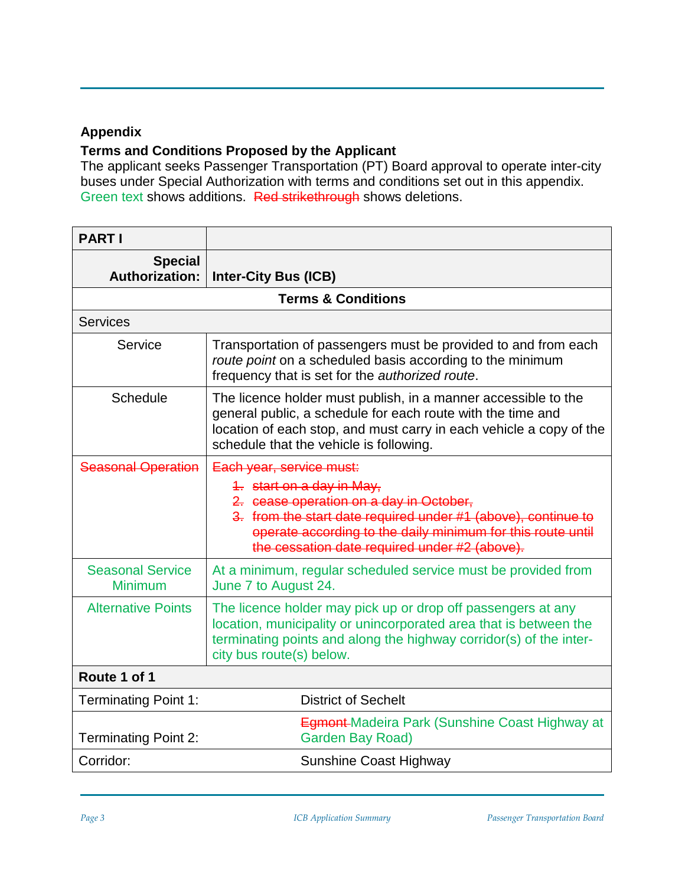## **Appendix**

## **Terms and Conditions Proposed by the Applicant**

The applicant seeks Passenger Transportation (PT) Board approval to operate inter-city buses under Special Authorization with terms and conditions set out in this appendix. Green text shows additions. Red strikethrough shows deletions.

| <b>PARTI</b>                              |                                                                                                                                                                                                                                                                                   |  |  |  |  |
|-------------------------------------------|-----------------------------------------------------------------------------------------------------------------------------------------------------------------------------------------------------------------------------------------------------------------------------------|--|--|--|--|
| <b>Special</b><br><b>Authorization:</b>   | <b>Inter-City Bus (ICB)</b>                                                                                                                                                                                                                                                       |  |  |  |  |
| <b>Terms &amp; Conditions</b>             |                                                                                                                                                                                                                                                                                   |  |  |  |  |
| <b>Services</b>                           |                                                                                                                                                                                                                                                                                   |  |  |  |  |
| Service                                   | Transportation of passengers must be provided to and from each<br>route point on a scheduled basis according to the minimum<br>frequency that is set for the authorized route.                                                                                                    |  |  |  |  |
| Schedule                                  | The licence holder must publish, in a manner accessible to the<br>general public, a schedule for each route with the time and<br>location of each stop, and must carry in each vehicle a copy of the<br>schedule that the vehicle is following.                                   |  |  |  |  |
| <b>Seasonal Operation</b>                 | Each year, service must:<br>4. start on a day in May,<br>2. cease operation on a day in October,<br>3. from the start date required under #1 (above), continue to<br>operate according to the daily minimum for this route until<br>the cessation date required under #2 (above). |  |  |  |  |
| <b>Seasonal Service</b><br><b>Minimum</b> | At a minimum, regular scheduled service must be provided from<br>June 7 to August 24.                                                                                                                                                                                             |  |  |  |  |
| <b>Alternative Points</b>                 | The licence holder may pick up or drop off passengers at any<br>location, municipality or unincorporated area that is between the<br>terminating points and along the highway corridor(s) of the inter-<br>city bus route(s) below.                                               |  |  |  |  |
| Route 1 of 1                              |                                                                                                                                                                                                                                                                                   |  |  |  |  |
| <b>Terminating Point 1:</b>               | <b>District of Sechelt</b>                                                                                                                                                                                                                                                        |  |  |  |  |
| <b>Terminating Point 2:</b>               | <b>Egmont-Madeira Park (Sunshine Coast Highway at</b><br><b>Garden Bay Road)</b>                                                                                                                                                                                                  |  |  |  |  |
| Corridor:                                 | <b>Sunshine Coast Highway</b>                                                                                                                                                                                                                                                     |  |  |  |  |